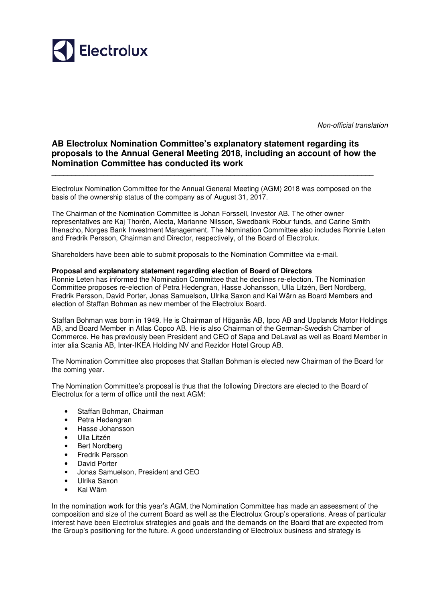

Non-official translation

## **AB Electrolux Nomination Committee's explanatory statement regarding its proposals to the Annual General Meeting 2018, including an account of how the Nomination Committee has conducted its work**

\_\_\_\_\_\_\_\_\_\_\_\_\_\_\_\_\_\_\_\_\_\_\_\_\_\_\_\_\_\_\_\_\_\_\_\_\_\_\_\_\_\_\_\_\_\_\_\_\_\_\_\_\_\_\_\_\_\_\_\_\_\_\_\_\_\_\_\_\_\_\_\_\_\_\_\_\_\_\_\_\_

Electrolux Nomination Committee for the Annual General Meeting (AGM) 2018 was composed on the basis of the ownership status of the company as of August 31, 2017.

The Chairman of the Nomination Committee is Johan Forssell, Investor AB. The other owner representatives are Kaj Thorén, Alecta, Marianne Nilsson, Swedbank Robur funds, and Carine Smith Ihenacho, Norges Bank Investment Management. The Nomination Committee also includes Ronnie Leten and Fredrik Persson, Chairman and Director, respectively, of the Board of Electrolux.

Shareholders have been able to submit proposals to the Nomination Committee via e-mail.

## **Proposal and explanatory statement regarding election of Board of Directors**

Ronnie Leten has informed the Nomination Committee that he declines re-election. The Nomination Committee proposes re-election of Petra Hedengran, Hasse Johansson, Ulla Litzén, Bert Nordberg, Fredrik Persson, David Porter, Jonas Samuelson, Ulrika Saxon and Kai Wärn as Board Members and election of Staffan Bohman as new member of the Electrolux Board.

Staffan Bohman was born in 1949. He is Chairman of Höganäs AB, Ipco AB and Upplands Motor Holdings AB, and Board Member in Atlas Copco AB. He is also Chairman of the German-Swedish Chamber of Commerce. He has previously been President and CEO of Sapa and DeLaval as well as Board Member in inter alia Scania AB, Inter-IKEA Holding NV and Rezidor Hotel Group AB.

The Nomination Committee also proposes that Staffan Bohman is elected new Chairman of the Board for the coming year.

The Nomination Committee's proposal is thus that the following Directors are elected to the Board of Electrolux for a term of office until the next AGM:

- Staffan Bohman, Chairman
- Petra Hedengran
- Hasse Johansson
- Ulla Litzén
- Bert Nordberg
- Fredrik Persson
- David Porter
- Jonas Samuelson, President and CEO
- Ulrika Saxon
- Kai Wärn

In the nomination work for this year's AGM, the Nomination Committee has made an assessment of the composition and size of the current Board as well as the Electrolux Group's operations. Areas of particular interest have been Electrolux strategies and goals and the demands on the Board that are expected from the Group's positioning for the future. A good understanding of Electrolux business and strategy is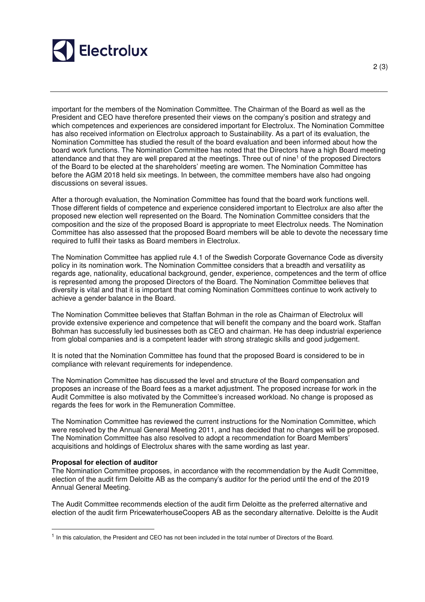

important for the members of the Nomination Committee. The Chairman of the Board as well as the President and CEO have therefore presented their views on the company's position and strategy and which competences and experiences are considered important for Electrolux. The Nomination Committee has also received information on Electrolux approach to Sustainability. As a part of its evaluation, the Nomination Committee has studied the result of the board evaluation and been informed about how the board work functions. The Nomination Committee has noted that the Directors have a high Board meeting attendance and that they are well prepared at the meetings. Three out of nine<sup>1</sup> of the proposed Directors of the Board to be elected at the shareholders' meeting are women. The Nomination Committee has before the AGM 2018 held six meetings. In between, the committee members have also had ongoing discussions on several issues.

After a thorough evaluation, the Nomination Committee has found that the board work functions well. Those different fields of competence and experience considered important to Electrolux are also after the proposed new election well represented on the Board. The Nomination Committee considers that the composition and the size of the proposed Board is appropriate to meet Electrolux needs. The Nomination Committee has also assessed that the proposed Board members will be able to devote the necessary time required to fulfil their tasks as Board members in Electrolux.

The Nomination Committee has applied rule 4.1 of the Swedish Corporate Governance Code as diversity policy in its nomination work. The Nomination Committee considers that a breadth and versatility as regards age, nationality, educational background, gender, experience, competences and the term of office is represented among the proposed Directors of the Board. The Nomination Committee believes that diversity is vital and that it is important that coming Nomination Committees continue to work actively to achieve a gender balance in the Board.

The Nomination Committee believes that Staffan Bohman in the role as Chairman of Electrolux will provide extensive experience and competence that will benefit the company and the board work. Staffan Bohman has successfully led businesses both as CEO and chairman. He has deep industrial experience from global companies and is a competent leader with strong strategic skills and good judgement.

It is noted that the Nomination Committee has found that the proposed Board is considered to be in compliance with relevant requirements for independence.

The Nomination Committee has discussed the level and structure of the Board compensation and proposes an increase of the Board fees as a market adjustment. The proposed increase for work in the Audit Committee is also motivated by the Committee's increased workload. No change is proposed as regards the fees for work in the Remuneration Committee.

The Nomination Committee has reviewed the current instructions for the Nomination Committee, which were resolved by the Annual General Meeting 2011, and has decided that no changes will be proposed. The Nomination Committee has also resolved to adopt a recommendation for Board Members' acquisitions and holdings of Electrolux shares with the same wording as last year.

## **Proposal for election of auditor**

-

The Nomination Committee proposes, in accordance with the recommendation by the Audit Committee, election of the audit firm Deloitte AB as the company's auditor for the period until the end of the 2019 Annual General Meeting.

The Audit Committee recommends election of the audit firm Deloitte as the preferred alternative and election of the audit firm PricewaterhouseCoopers AB as the secondary alternative. Deloitte is the Audit

<sup>1</sup> In this calculation, the President and CEO has not been included in the total number of Directors of the Board.